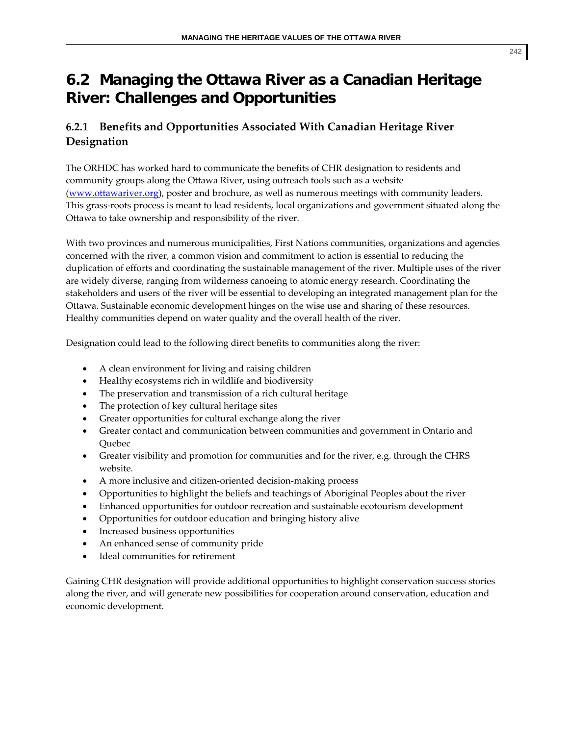# **6.2 Managing the Ottawa River as a Canadian Heritage River: Challenges and Opportunities**

# **6.2.1 Benefits and Opportunities Associated With Canadian Heritage River Designation**

The ORHDC has worked hard to communicate the benefits of CHR designation to residents and community groups along the Ottawa River, using outreach tools such as a website (www.ottawariver.org), poster and brochure, as well as numerous meetings with community leaders. This grass‐roots process is meant to lead residents, local organizations and government situated along the Ottawa to take ownership and responsibility of the river.

With two provinces and numerous municipalities, First Nations communities, organizations and agencies concerned with the river, a common vision and commitment to action is essential to reducing the duplication of efforts and coordinating the sustainable management of the river. Multiple uses of the river are widely diverse, ranging from wilderness canoeing to atomic energy research. Coordinating the stakeholders and users of the river will be essential to developing an integrated management plan for the Ottawa. Sustainable economic development hinges on the wise use and sharing of these resources. Healthy communities depend on water quality and the overall health of the river.

Designation could lead to the following direct benefits to communities along the river:

- A clean environment for living and raising children
- Healthy ecosystems rich in wildlife and biodiversity
- The preservation and transmission of a rich cultural heritage
- The protection of key cultural heritage sites
- Greater opportunities for cultural exchange along the river
- Greater contact and communication between communities and government in Ontario and Quebec
- Greater visibility and promotion for communities and for the river, e.g. through the CHRS website.
- A more inclusive and citizen-oriented decision-making process
- Opportunities to highlight the beliefs and teachings of Aboriginal Peoples about the river
- Enhanced opportunities for outdoor recreation and sustainable ecotourism development
- Opportunities for outdoor education and bringing history alive
- Increased business opportunities
- An enhanced sense of community pride
- Ideal communities for retirement

Gaining CHR designation will provide additional opportunities to highlight conservation success stories along the river, and will generate new possibilities for cooperation around conservation, education and economic development.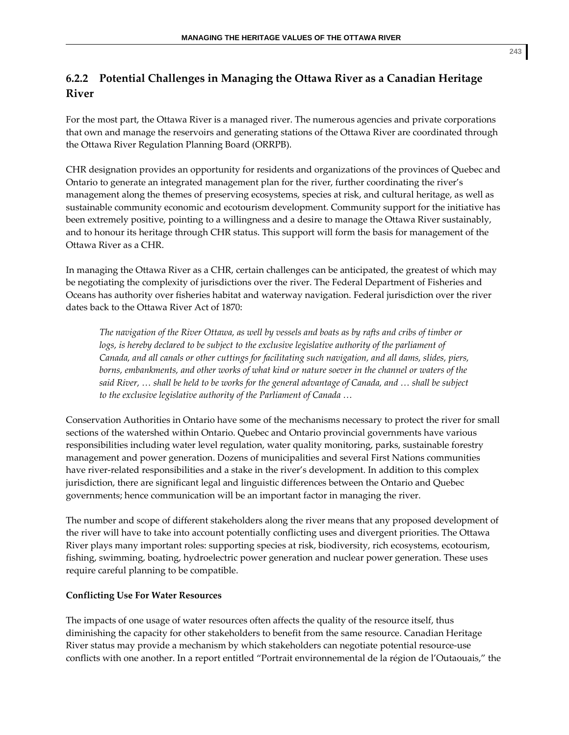# **6.2.2 Potential Challenges in Managing the Ottawa River as a Canadian Heritage River**

For the most part, the Ottawa River is a managed river. The numerous agencies and private corporations that own and manage the reservoirs and generating stations of the Ottawa River are coordinated through the Ottawa River Regulation Planning Board (ORRPB).

CHR designation provides an opportunity for residents and organizations of the provinces of Quebec and Ontario to generate an integrated management plan for the river, further coordinating the river's management along the themes of preserving ecosystems, species at risk, and cultural heritage, as well as sustainable community economic and ecotourism development. Community support for the initiative has been extremely positive, pointing to a willingness and a desire to manage the Ottawa River sustainably, and to honour its heritage through CHR status. This support will form the basis for management of the Ottawa River as a CHR.

In managing the Ottawa River as a CHR, certain challenges can be anticipated, the greatest of which may be negotiating the complexity of jurisdictions over the river. The Federal Department of Fisheries and Oceans has authority over fisheries habitat and waterway navigation. Federal jurisdiction over the river dates back to the Ottawa River Act of 1870:

The navigation of the River Ottawa, as well by vessels and boats as by rafts and cribs of timber or *logs, is hereby declared to be subject to the exclusive legislative authority of the parliament of Canada, and all canals or other cuttings for facilitating such navigation, and all dams, slides, piers, borns, embankments, and other works of what kind or nature soever in the channel or waters of the* said River, ... shall be held to be works for the general advantage of Canada, and ... shall be subject *to the exclusive legislative authority of the Parliament of Canada …* 

Conservation Authorities in Ontario have some of the mechanisms necessary to protect the river for small sections of the watershed within Ontario. Quebec and Ontario provincial governments have various responsibilities including water level regulation, water quality monitoring, parks, sustainable forestry management and power generation. Dozens of municipalities and several First Nations communities have river-related responsibilities and a stake in the river's development. In addition to this complex jurisdiction, there are significant legal and linguistic differences between the Ontario and Quebec governments; hence communication will be an important factor in managing the river.

The number and scope of different stakeholders along the river means that any proposed development of the river will have to take into account potentially conflicting uses and divergent priorities. The Ottawa River plays many important roles: supporting species at risk, biodiversity, rich ecosystems, ecotourism, fishing, swimming, boating, hydroelectric power generation and nuclear power generation. These uses require careful planning to be compatible.

# **Conflicting Use For Water Resources**

The impacts of one usage of water resources often affects the quality of the resource itself, thus diminishing the capacity for other stakeholders to benefit from the same resource. Canadian Heritage River status may provide a mechanism by which stakeholders can negotiate potential resource-use conflicts with one another. In a report entitled "Portrait environnemental de la région de l'Outaouais," the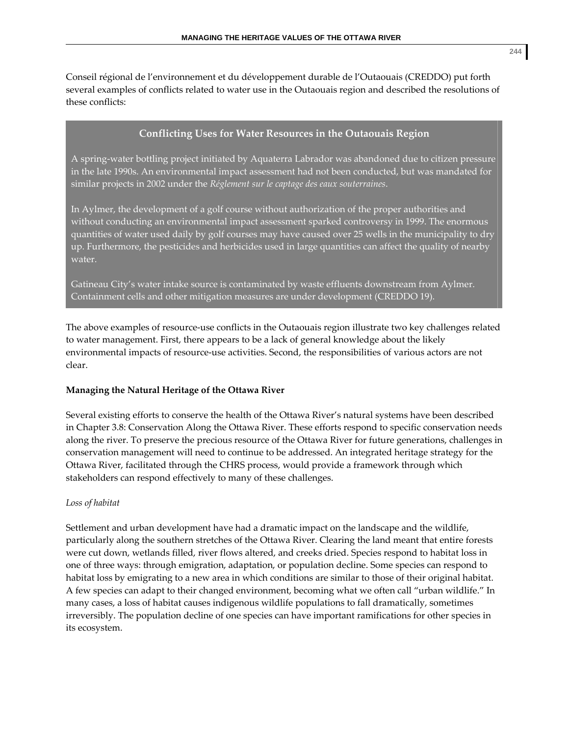Conseil régional de l'environnement et du développement durable de l'Outaouais (CREDDO) put forth several examples of conflicts related to water use in the Outaouais region and described the resolutions of these conflicts:

### **Conflicting Uses for Water Resources in the Outaouais Region**

A spring‐water bottling project initiated by Aquaterra Labrador was abandoned due to citizen pressure in the late 1990s. An environmental impact assessment had not been conducted, but was mandated for similar projects in 2002 under the *Réglement sur le captage des eaux souterraines*.

In Aylmer, the development of a golf course without authorization of the proper authorities and without conducting an environmental impact assessment sparked controversy in 1999. The enormous quantities of water used daily by golf courses may have caused over 25 wells in the municipality to dry up. Furthermore, the pesticides and herbicides used in large quantities can affect the quality of nearby water.

Gatineau City's water intake source is contaminated by waste effluents downstream from Aylmer. Containment cells and other mitigation measures are under development (CREDDO 19).

The above examples of resource‐use conflicts in the Outaouais region illustrate two key challenges related to water management. First, there appears to be a lack of general knowledge about the likely environmental impacts of resource‐use activities. Second, the responsibilities of various actors are not clear.

#### **Managing the Natural Heritage of the Ottawa River**

Several existing efforts to conserve the health of the Ottawa River's natural systems have been described in Chapter 3.8: Conservation Along the Ottawa River. These efforts respond to specific conservation needs along the river. To preserve the precious resource of the Ottawa River for future generations, challenges in conservation management will need to continue to be addressed. An integrated heritage strategy for the Ottawa River, facilitated through the CHRS process, would provide a framework through which stakeholders can respond effectively to many of these challenges.

#### *Loss of habitat*

Settlement and urban development have had a dramatic impact on the landscape and the wildlife, particularly along the southern stretches of the Ottawa River. Clearing the land meant that entire forests were cut down, wetlands filled, river flows altered, and creeks dried. Species respond to habitat loss in one of three ways: through emigration, adaptation, or population decline. Some species can respond to habitat loss by emigrating to a new area in which conditions are similar to those of their original habitat. A few species can adapt to their changed environment, becoming what we often call "urban wildlife." In many cases, a loss of habitat causes indigenous wildlife populations to fall dramatically, sometimes irreversibly. The population decline of one species can have important ramifications for other species in its ecosystem.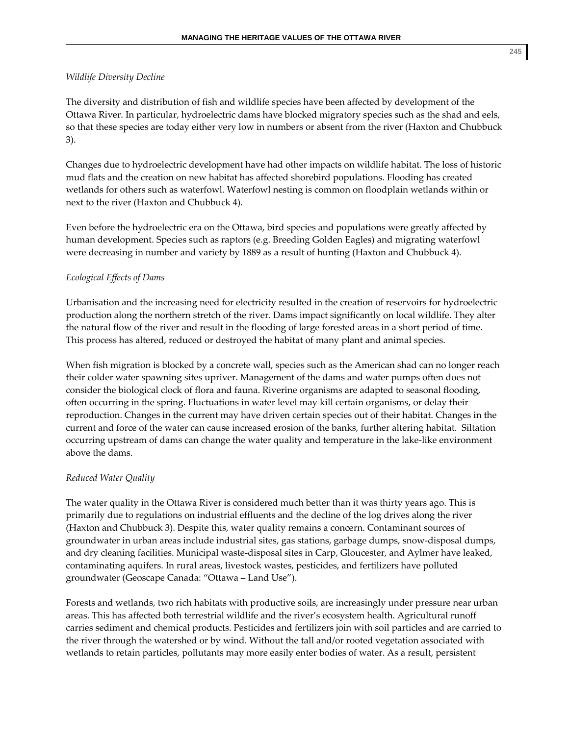#### *Wildlife Diversity Decline*

The diversity and distribution of fish and wildlife species have been affected by development of the Ottawa River. In particular, hydroelectric dams have blocked migratory species such as the shad and eels, so that these species are today either very low in numbers or absent from the river (Haxton and Chubbuck 3).

Changes due to hydroelectric development have had other impacts on wildlife habitat. The loss of historic mud flats and the creation on new habitat has affected shorebird populations. Flooding has created wetlands for others such as waterfowl. Waterfowl nesting is common on floodplain wetlands within or next to the river (Haxton and Chubbuck 4).

Even before the hydroelectric era on the Ottawa, bird species and populations were greatly affected by human development. Species such as raptors (e.g. Breeding Golden Eagles) and migrating waterfowl were decreasing in number and variety by 1889 as a result of hunting (Haxton and Chubbuck 4).

#### *Ecological Effects of Dams*

Urbanisation and the increasing need for electricity resulted in the creation of reservoirs for hydroelectric production along the northern stretch of the river. Dams impact significantly on local wildlife. They alter the natural flow of the river and result in the flooding of large forested areas in a short period of time. This process has altered, reduced or destroyed the habitat of many plant and animal species.

When fish migration is blocked by a concrete wall, species such as the American shad can no longer reach their colder water spawning sites upriver. Management of the dams and water pumps often does not consider the biological clock of flora and fauna. Riverine organisms are adapted to seasonal flooding, often occurring in the spring. Fluctuations in water level may kill certain organisms, or delay their reproduction. Changes in the current may have driven certain species out of their habitat. Changes in the current and force of the water can cause increased erosion of the banks, further altering habitat. Siltation occurring upstream of dams can change the water quality and temperature in the lake‐like environment above the dams.

#### *Reduced Water Quality*

The water quality in the Ottawa River is considered much better than it was thirty years ago. This is primarily due to regulations on industrial effluents and the decline of the log drives along the river (Haxton and Chubbuck 3). Despite this, water quality remains a concern. Contaminant sources of groundwater in urban areas include industrial sites, gas stations, garbage dumps, snow‐disposal dumps, and dry cleaning facilities. Municipal waste‐disposal sites in Carp, Gloucester, and Aylmer have leaked, contaminating aquifers. In rural areas, livestock wastes, pesticides, and fertilizers have polluted groundwater (Geoscape Canada: "Ottawa – Land Use").

Forests and wetlands, two rich habitats with productive soils, are increasingly under pressure near urban areas. This has affected both terrestrial wildlife and the river's ecosystem health. Agricultural runoff carries sediment and chemical products. Pesticides and fertilizers join with soil particles and are carried to the river through the watershed or by wind. Without the tall and/or rooted vegetation associated with wetlands to retain particles, pollutants may more easily enter bodies of water. As a result, persistent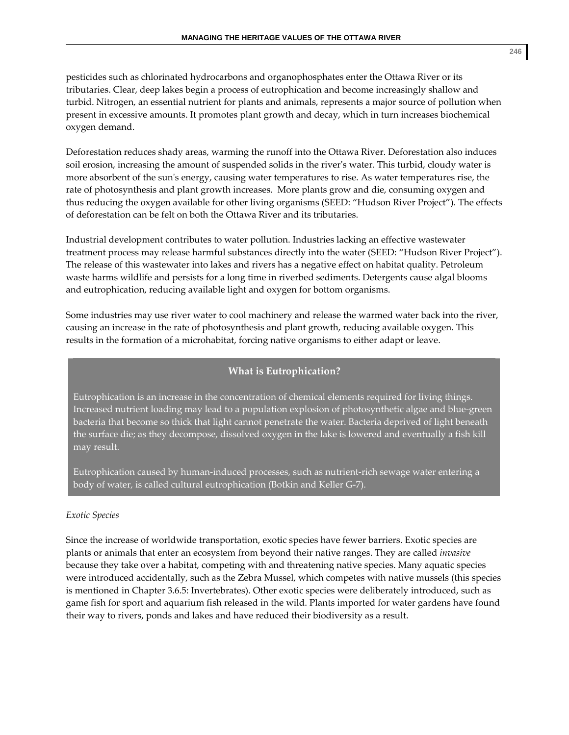pesticides such as chlorinated hydrocarbons and organophosphates enter the Ottawa River or its tributaries. Clear, deep lakes begin a process of eutrophication and become increasingly shallow and turbid. Nitrogen, an essential nutrient for plants and animals, represents a major source of pollution when present in excessive amounts. It promotes plant growth and decay, which in turn increases biochemical oxygen demand.

Deforestation reduces shady areas, warming the runoff into the Ottawa River. Deforestation also induces soil erosion, increasing the amount of suspended solids in the river's water. This turbid, cloudy water is more absorbent of the sun's energy, causing water temperatures to rise. As water temperatures rise, the rate of photosynthesis and plant growth increases. More plants grow and die, consuming oxygen and thus reducing the oxygen available for other living organisms (SEED: "Hudson River Project"). The effects of deforestation can be felt on both the Ottawa River and its tributaries.

Industrial development contributes to water pollution. Industries lacking an effective wastewater treatment process may release harmful substances directly into the water (SEED: "Hudson River Project"). The release of this wastewater into lakes and rivers has a negative effect on habitat quality. Petroleum waste harms wildlife and persists for a long time in riverbed sediments. Detergents cause algal blooms and eutrophication, reducing available light and oxygen for bottom organisms.

Some industries may use river water to cool machinery and release the warmed water back into the river, causing an increase in the rate of photosynthesis and plant growth, reducing available oxygen. This results in the formation of a microhabitat, forcing native organisms to either adapt or leave.

# **What is Eutrophication?**

Eutrophication is an increase in the concentration of chemical elements required for living things. Increased nutrient loading may lead to a population explosion of photosynthetic algae and blue‐green bacteria that become so thick that light cannot penetrate the water. Bacteria deprived of light beneath the surface die; as they decompose, dissolved oxygen in the lake is lowered and eventually a fish kill may result.

Eutrophication caused by human‐induced processes, such as nutrient‐rich sewage water entering a body of water, is called cultural eutrophication (Botkin and Keller G‐7).

#### *Exotic Species*

Since the increase of worldwide transportation, exotic species have fewer barriers. Exotic species are plants or animals that enter an ecosystem from beyond their native ranges. They are called *invasive* because they take over a habitat, competing with and threatening native species. Many aquatic species were introduced accidentally, such as the Zebra Mussel, which competes with native mussels (this species is mentioned in Chapter 3.6.5: Invertebrates). Other exotic species were deliberately introduced, such as game fish for sport and aquarium fish released in the wild. Plants imported for water gardens have found their way to rivers, ponds and lakes and have reduced their biodiversity as a result.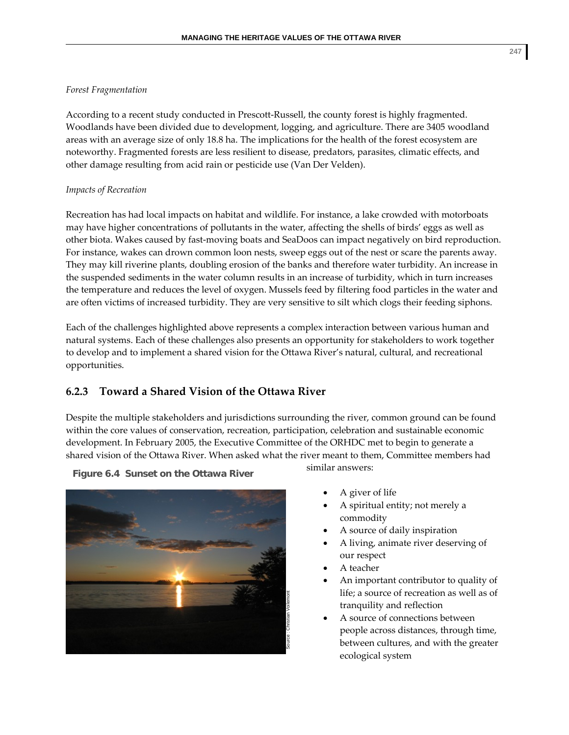#### *Forest Fragmentation*

According to a recent study conducted in Prescott‐Russell, the county forest is highly fragmented. Woodlands have been divided due to development, logging, and agriculture. There are 3405 woodland areas with an average size of only 18.8 ha. The implications for the health of the forest ecosystem are noteworthy. Fragmented forests are less resilient to disease, predators, parasites, climatic effects, and other damage resulting from acid rain or pesticide use (Van Der Velden).

#### *Impacts of Recreation*

Recreation has had local impacts on habitat and wildlife. For instance, a lake crowded with motorboats may have higher concentrations of pollutants in the water, affecting the shells of birds' eggs as well as other biota. Wakes caused by fast‐moving boats and SeaDoos can impact negatively on bird reproduction. For instance, wakes can drown common loon nests, sweep eggs out of the nest or scare the parents away. They may kill riverine plants, doubling erosion of the banks and therefore water turbidity. An increase in the suspended sediments in the water column results in an increase of turbidity, which in turn increases the temperature and reduces the level of oxygen. Mussels feed by filtering food particles in the water and are often victims of increased turbidity. They are very sensitive to silt which clogs their feeding siphons.

Each of the challenges highlighted above represents a complex interaction between various human and natural systems. Each of these challenges also presents an opportunity for stakeholders to work together to develop and to implement a shared vision for the Ottawa River's natural, cultural, and recreational opportunities.

# **6.2.3 Toward a Shared Vision of the Ottawa River**

Despite the multiple stakeholders and jurisdictions surrounding the river, common ground can be found within the core values of conservation, recreation, participation, celebration and sustainable economic development. In February 2005, the Executive Committee of the ORHDC met to begin to generate a shared vision of the Ottawa River. When asked what the river meant to them, Committee members had

Source : Christian Voilemont

**Figure 6.4 Sunset on the Ottawa River**

similar answers:

- A giver of life
- A spiritual entity; not merely a commodity
- A source of daily inspiration
- A living, animate river deserving of our respect
- A teacher
- An important contributor to quality of life; a source of recreation as well as of tranquility and reflection
- A source of connections between people across distances, through time, between cultures, and with the greater ecological system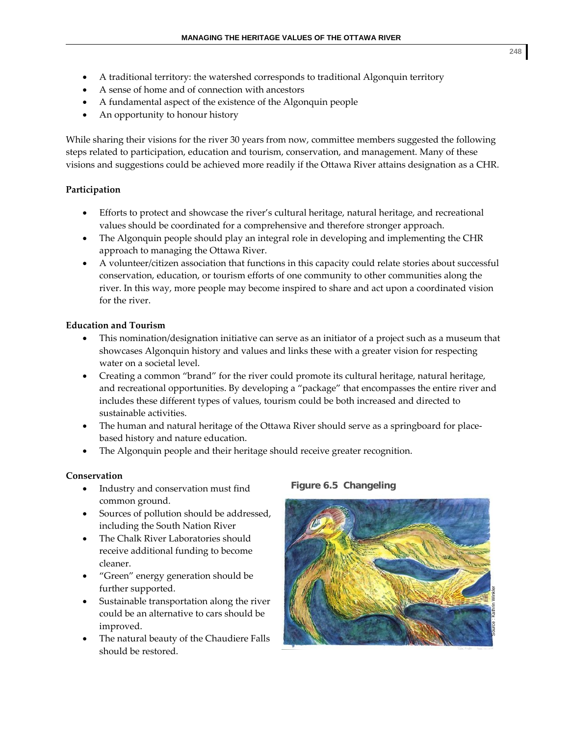- A traditional territory: the watershed corresponds to traditional Algonquin territory
- A sense of home and of connection with ancestors
- A fundamental aspect of the existence of the Algonquin people
- An opportunity to honour history

While sharing their visions for the river 30 years from now, committee members suggested the following steps related to participation, education and tourism, conservation, and management. Many of these visions and suggestions could be achieved more readily if the Ottawa River attains designation as a CHR.

# **Participation**

- Efforts to protect and showcase the river's cultural heritage, natural heritage, and recreational values should be coordinated for a comprehensive and therefore stronger approach.
- The Algonquin people should play an integral role in developing and implementing the CHR approach to managing the Ottawa River.
- A volunteer/citizen association that functions in this capacity could relate stories about successful conservation, education, or tourism efforts of one community to other communities along the river. In this way, more people may become inspired to share and act upon a coordinated vision for the river.

# **Education and Tourism**

- This nomination/designation initiative can serve as an initiator of a project such as a museum that showcases Algonquin history and values and links these with a greater vision for respecting water on a societal level.
- Creating a common "brand" for the river could promote its cultural heritage, natural heritage, and recreational opportunities. By developing a "package" that encompasses the entire river and includes these different types of values, tourism could be both increased and directed to sustainable activities.
- The human and natural heritage of the Ottawa River should serve as a springboard for placebased history and nature education.
- The Algonquin people and their heritage should receive greater recognition.

# **Conservation**

- Industry and conservation must find common ground.
- Sources of pollution should be addressed, including the South Nation River
- The Chalk River Laboratories should receive additional funding to become cleaner.
- "Green" energy generation should be further supported.
- Sustainable transportation along the river could be an alternative to cars should be improved.
- The natural beauty of the Chaudiere Falls should be restored.

# **Figure 6.5 Changeling**